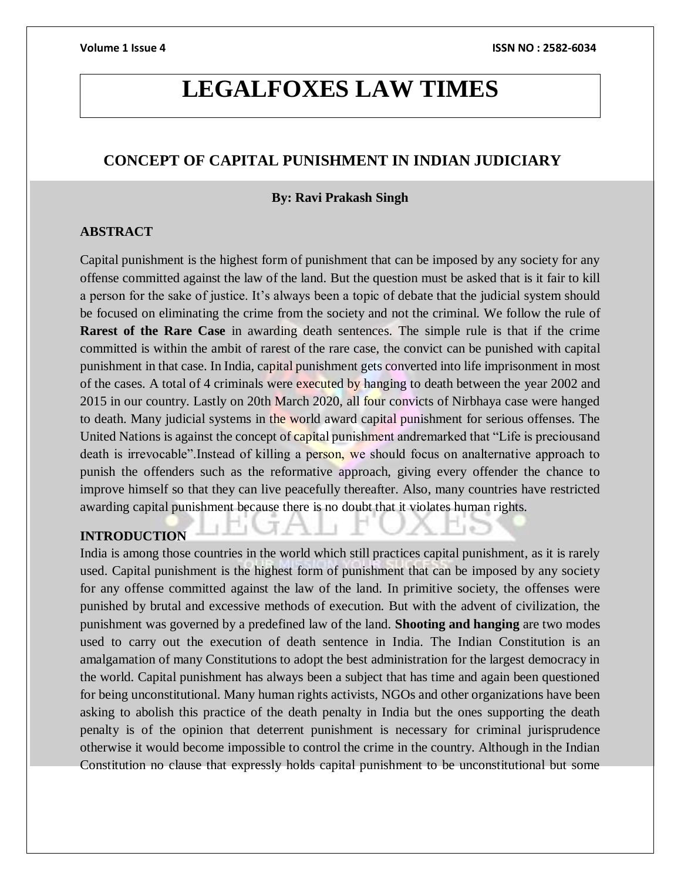# **LEGALFOXES LAW TIMES**

### **CONCEPT OF CAPITAL PUNISHMENT IN INDIAN JUDICIARY**

#### **By: Ravi Prakash Singh**

#### **ABSTRACT**

Capital punishment is the highest form of punishment that can be imposed by any society for any offense committed against the law of the land. But the question must be asked that is it fair to kill a person for the sake of justice. It's always been a topic of debate that the judicial system should be focused on eliminating the crime from the society and not the criminal. We follow the rule of **Rarest of the Rare Case** in awarding death sentences. The simple rule is that if the crime committed is within the ambit of rarest of the rare case, the convict can be punished with capital punishment in that case. In India, capital punishment gets converted into life imprisonment in most of the cases. A total of 4 criminals were executed by hanging to death between the year 2002 and 2015 in our country. Lastly on 20th March 2020, all four convicts of Nirbhaya case were hanged to death. Many judicial systems in the world award capital punishment for serious offenses. The United Nations is against the concept of capital punishment andremarked that "Life is preciousand death is irrevocable".Instead of killing a person, we should focus on analternative approach to punish the offenders such as the reformative approach, giving every offender the chance to improve himself so that they can live peacefully thereafter. Also, many countries have restricted awarding capital punishment because there is no doubt that it violates human rights.

## **INTRODUCTION**

India is among those countries in the world which still practices capital punishment, as it is rarely used. Capital punishment is the highest form of punishment that can be imposed by any society for any offense committed against the law of the land. In primitive society, the offenses were punished by brutal and excessive methods of execution. But with the advent of civilization, the punishment was governed by a predefined law of the land. **Shooting and hanging** are two modes used to carry out the execution of death sentence in India. The Indian Constitution is an amalgamation of many Constitutions to adopt the best administration for the largest democracy in the world. Capital punishment has always been a subject that has time and again been questioned for being unconstitutional. Many human rights activists, NGOs and other organizations have been asking to abolish this practice of the death penalty in India but the ones supporting the death penalty is of the opinion that deterrent punishment is necessary for criminal jurisprudence otherwise it would become impossible to control the crime in the country. Although in the Indian Constitution no clause that expressly holds capital punishment to be unconstitutional but some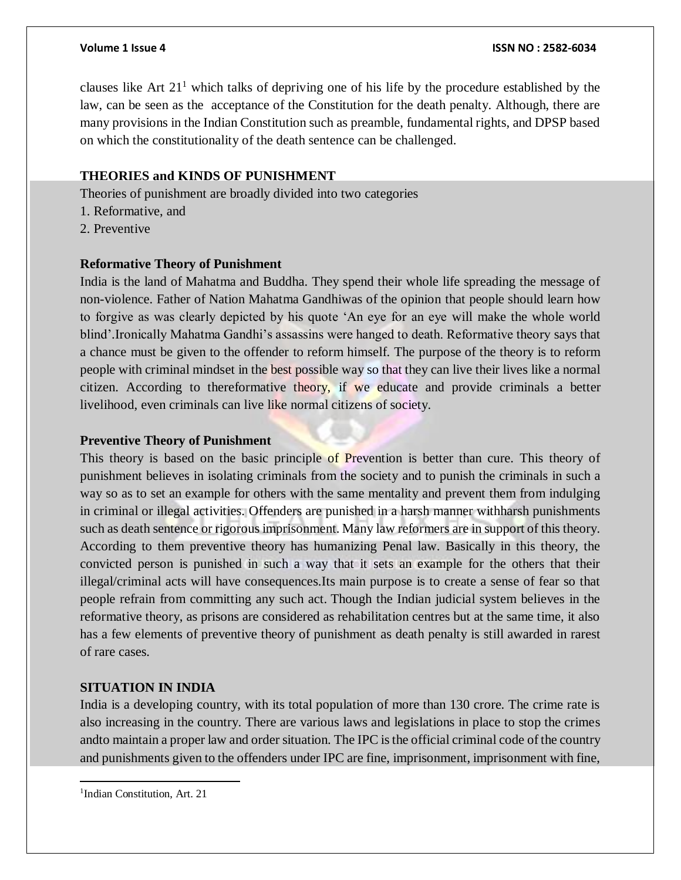clauses like Art  $21<sup>1</sup>$  which talks of depriving one of his life by the procedure established by the law, can be seen as the acceptance of the Constitution for the death penalty. Although, there are many provisions in the Indian Constitution such as preamble, fundamental rights, and DPSP based on which the constitutionality of the death sentence can be challenged.

#### **THEORIES and KINDS OF PUNISHMENT**

Theories of punishment are broadly divided into two categories

- 1. Reformative, and
- 2. Preventive

#### **Reformative Theory of Punishment**

India is the land of Mahatma and Buddha. They spend their whole life spreading the message of non-violence. Father of Nation Mahatma Gandhiwas of the opinion that people should learn how to forgive as was clearly depicted by his quote 'An eye for an eye will make the whole world blind'.Ironically Mahatma Gandhi's assassins were hanged to death. Reformative theory says that a chance must be given to the offender to reform himself. The purpose of the theory is to reform people with criminal mindset in the best possible way so that they can live their lives like a normal citizen. According to thereformative theory, if we educate and provide criminals a better livelihood, even criminals can live like normal citizens of society.

#### **Preventive Theory of Punishment**

This theory is based on the basic principle of Prevention is better than cure. This theory of punishment believes in isolating criminals from the society and to punish the criminals in such a way so as to set an example for others with the same mentality and prevent them from indulging in criminal or illegal activities. Offenders are punished in a harsh manner withharsh punishments such as death sentence or rigorous imprisonment. Many law reformers are in support of this theory. According to them preventive theory has humanizing Penal law. Basically in this theory, the convicted person is punished in such a way that it sets an example for the others that their illegal/criminal acts will have consequences.Its main purpose is to create a sense of fear so that people refrain from committing any such act. Though the Indian judicial system believes in the reformative theory, as prisons are considered as rehabilitation centres but at the same time, it also has a few elements of preventive theory of punishment as death penalty is still awarded in rarest of rare cases.

#### **SITUATION IN INDIA**

India is a developing country, with its total population of more than 130 crore. The crime rate is also increasing in the country. There are various laws and legislations in place to stop the crimes andto maintain a proper law and order situation. The IPC is the official criminal code of the country and punishments given to the offenders under IPC are fine, imprisonment, imprisonment with fine,

<sup>1</sup> Indian Constitution, Art. 21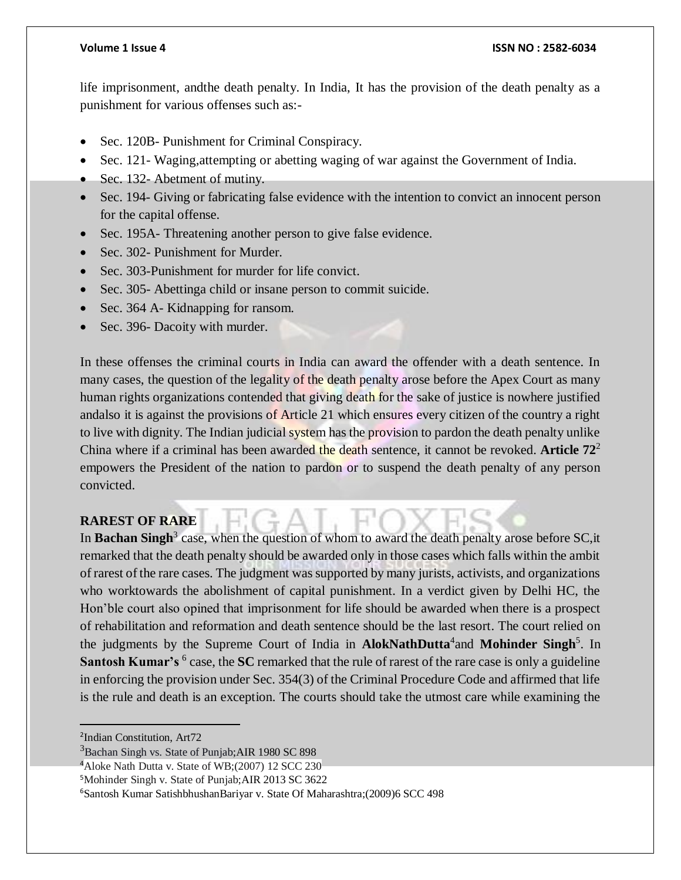#### **Volume 1 Issue 4 ISSN NO : 2582-6034**

life imprisonment, andthe death penalty. In India, It has the provision of the death penalty as a punishment for various offenses such as:-

- Sec. 120B- Punishment for Criminal Conspiracy.
- Sec. 121- Waging,attempting or abetting waging of war against the Government of India.
- Sec. 132- Abetment of mutiny.
- Sec. 194- Giving or fabricating false evidence with the intention to convict an innocent person for the capital offense.
- Sec. 195A- Threatening another person to give false evidence.
- Sec. 302- Punishment for Murder.
- Sec. 303-Punishment for murder for life convict.
- Sec. 305- Abettinga child or insane person to commit suicide.
- Sec. 364 A- Kidnapping for ransom.
- Sec. 396- Dacoity with murder.

In these offenses the criminal courts in India can award the offender with a death sentence. In many cases, the question of the legality of the death penalty arose before the Apex Court as many human rights organizations contended that giving death for the sake of justice is nowhere justified andalso it is against the provisions of Article 21 which ensures every citizen of the country a right to live with dignity. The Indian judicial system has the provision to pardon the death penalty unlike China where if a criminal has been awarded the death sentence, it cannot be revoked. **Article 72**<sup>2</sup> empowers the President of the nation to pardon or to suspend the death penalty of any person convicted.

### **RAREST OF RARE**

In Bachan Singh<sup>3</sup> case, when the question of whom to award the death penalty arose before SC, it remarked that the death penalty should be awarded only in those cases which falls within the ambit of rarest of the rare cases. The judgment was supported by many jurists, activists, and organizations who worktowards the abolishment of capital punishment. In a verdict given by Delhi HC, the Hon'ble court also opined that [imprisonment for life should be awarded when there is a prospect](https://www.scconline.com/blog/post/2018/01/09/life-imprisonment-awarded-prospect-rehabilitation-reformation-death-penalty-last-resort/)  [of rehabilitation and reformation and death sentence should be the last resort.](https://www.scconline.com/blog/post/2018/01/09/life-imprisonment-awarded-prospect-rehabilitation-reformation-death-penalty-last-resort/) The court relied on the judgments by the Supreme Court of India in **AlokNathDutta**<sup>4</sup> and **Mohinder Singh**<sup>5</sup>. In Santosh Kumar's <sup>6</sup> case, the SC remarked that the rule of rarest of the rare case is only a guideline in enforcing the provision under Sec. 354(3) of the Criminal Procedure Code and affirmed that life is the rule and death is an exception. The courts should take the utmost care while examining the

<sup>2</sup> Indian Constitution, Art72

<sup>&</sup>lt;sup>3</sup>Bachan Singh vs. State of Punjab; AIR 1980 SC 898

<sup>&</sup>lt;sup>4</sup>Aloke Nath Dutta v. State of WB;(2007) 12 SCC 230

<sup>&</sup>lt;sup>5</sup>Mohinder Singh v. State of Punjab; AIR 2013 SC 3622

<sup>6</sup>Santosh Kumar SatishbhushanBariyar v. State Of Maharashtra;(2009)6 SCC 498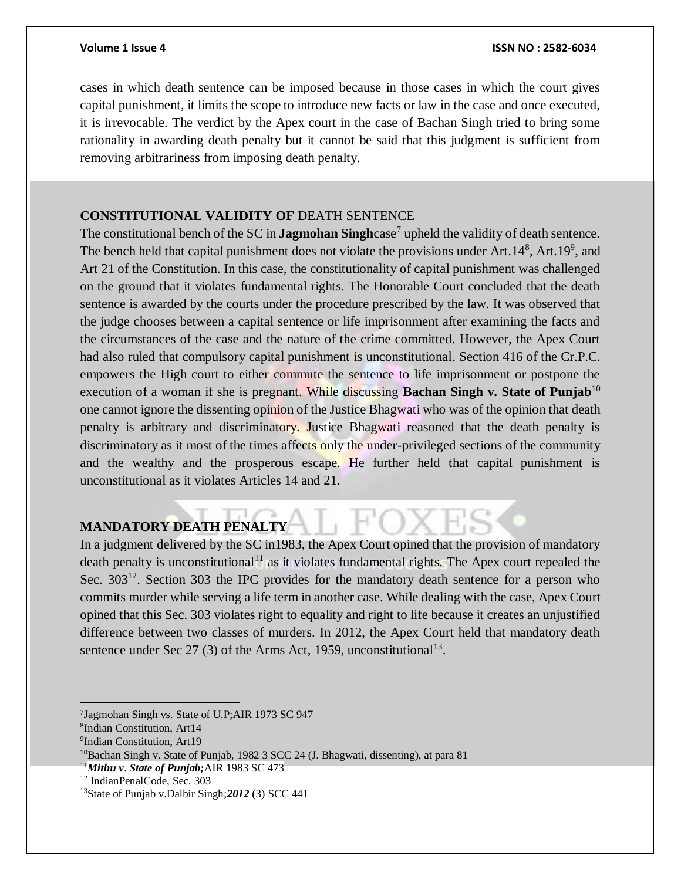cases in which death sentence can be imposed because in those cases in which the court gives capital punishment, it limits the scope to introduce new facts or law in the case and once executed, it is irrevocable. The verdict by the Apex court in the case of Bachan Singh tried to bring some rationality in awarding death penalty but it cannot be said that this judgment is sufficient from removing arbitrariness from imposing death penalty.

#### **CONSTITUTIONAL VALIDITY OF** DEATH SENTENCE

The constitutional bench of the SC in **Jagmohan Singh**case<sup>7</sup> upheld the validity of death sentence. The bench held that capital punishment does not violate the provisions under  $Art.14^8$ ,  $Art.19^9$ , and Art 21 of the Constitution. In this case, the constitutionality of capital punishment was challenged on the ground that it violates fundamental rights. The Honorable Court concluded that the death sentence is awarded by the courts under the procedure prescribed by the law. It was observed that the judge chooses between a capital sentence or life imprisonment after examining the facts and the circumstances of the case and the nature of the crime committed. However, the Apex Court had also ruled that compulsory capital punishment is unconstitutional. Section 416 of the Cr.P.C. empowers the High court to either commute the sentence to life imprisonment or postpone the execution of a woman if she is pregnant. While discussing **Bachan Singh v. State of Punjab**<sup>10</sup> one cannot ignore the dissenting opinion of the Justice Bhagwati who was of the opinion that death penalty is arbitrary and discriminatory. Justice Bhagwati reasoned that the death penalty is discriminatory as it most of the times affects only the under-privileged sections of the community and the wealthy and the prosperous escape. He further held that capital punishment is unconstitutional as it violates Articles 14 and 21.

### **MANDATORY DEATH PENALTY**

In a judgment delivered by the SC in1983, the Apex Court opined that the provision of mandatory death penalty is unconstitutional<sup>11</sup> as it violates fundamental rights. The Apex court repealed the Sec. 303<sup>12</sup>. Section 303 the IPC provides for the mandatory death sentence for a person who commits murder while serving a life term in another case. While dealing with the case, Apex Court opined that this Sec. 303 violates right to equality and right to life because it creates an unjustified difference between two classes of murders. In 2012, the Apex Court held that mandatory death sentence under Sec 27 (3) of the Arms Act, 1959, unconstitutional<sup>13</sup>.

<sup>7</sup> Jagmohan Singh vs. State of U.P;AIR 1973 SC 947

<sup>8</sup> Indian Constitution, Art14

<sup>9</sup> Indian Constitution, Art19

<sup>10</sup>Bachan Singh v. State of Punjab, 1982 3 SCC 24 (J. Bhagwati, dissenting), at para 81

<sup>11</sup>*Mithu v*. *State of Punjab;*AIR 1983 SC 473

<sup>12</sup> IndianPenalCode, Sec. 303

<sup>13</sup>State of Punjab v.Dalbir Singh;*2012* (3) SCC 441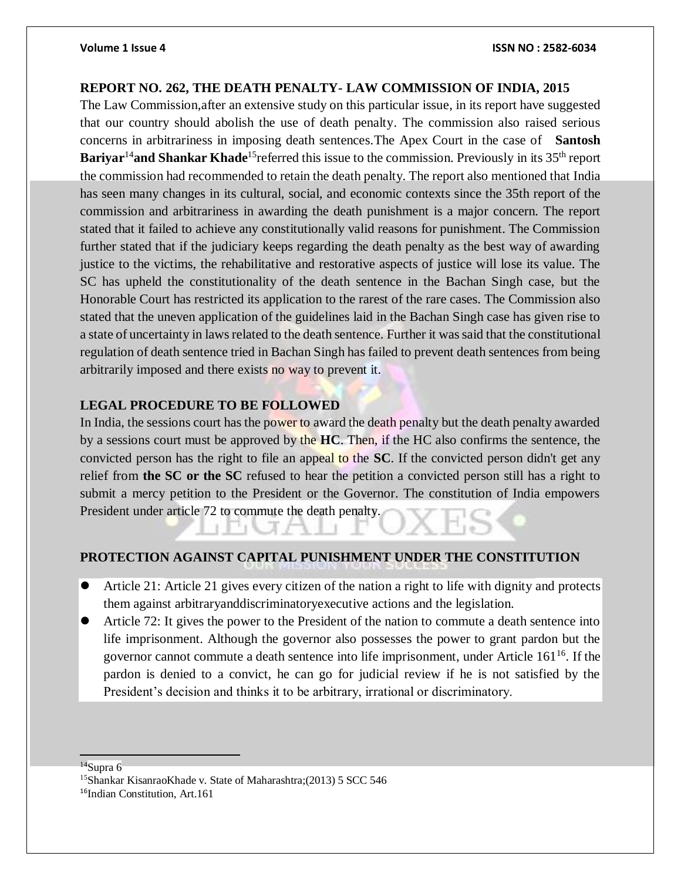### **REPORT NO. 262, THE DEATH PENALTY- LAW COMMISSION OF INDIA, 2015**

The Law Commission,after an extensive study on this particular issue, in its report have suggested that our country should abolish the use of death penalty. The commission also raised serious concerns in arbitrariness in imposing death sentences.The Apex Court in the case of **Santosh Bariyar<sup>14</sup>and Shankar Khade<sup>15</sup> referred this issue to the commission. Previously in its 35<sup>th</sup> report** the commission had recommended to retain the death penalty. The report also mentioned that India has seen many changes in its cultural, social, and economic contexts since the 35th report of the commission and arbitrariness in awarding the death punishment is a major concern. The report stated that it failed to achieve any constitutionally valid reasons for punishment. The Commission further stated that if the judiciary keeps regarding the death penalty as the best way of awarding justice to the victims, the rehabilitative and restorative aspects of justice will lose its value. The SC has upheld the constitutionality of the death sentence in the Bachan Singh case, but the Honorable Court has restricted its application to the rarest of the rare cases. The Commission also stated that the uneven application of the guidelines laid in the Bachan Singh case has given rise to a state of uncertainty in laws related to the death sentence. Further it was said that the constitutional regulation of death sentence tried in Bachan Singh has failed to prevent death sentences from being arbitrarily imposed and there exists no way to prevent it.

#### **LEGAL PROCEDURE TO BE FOLLOWED**

In India, the sessions court has the power to award the death penalty but the death penalty awarded by a sessions court must be approved by the **HC**. Then, if the HC also confirms the sentence, the convicted person has the right to file an appeal to the **SC**. If the convicted person didn't get any relief from **the SC or the SC** refused to hear the petition a convicted person still has a right to submit a mercy petition to the President or the Governor. The constitution of India empowers President under article 72 to commute the death penalty.

### **PROTECTION AGAINST CAPITAL PUNISHMENT UNDER THE CONSTITUTION**

- Article 21: Article 21 gives every citizen of the nation a right to life with dignity and protects them against arbitraryanddiscriminatoryexecutive actions and the legislation.
- Article 72: It gives the power to the President of the nation to commute a death sentence into life imprisonment. Although the governor also possesses the power to grant pardon but the governor cannot commute a death sentence into life imprisonment, under Article  $161^{16}$ . If the pardon is denied to a convict, he can go for judicial review if he is not satisfied by the President's decision and thinks it to be arbitrary, irrational or discriminatory.

 $14$ Supra 6

<sup>15</sup>Shankar KisanraoKhade v. State of Maharashtra;(2013) 5 SCC 546

<sup>&</sup>lt;sup>16</sup>Indian Constitution, Art.161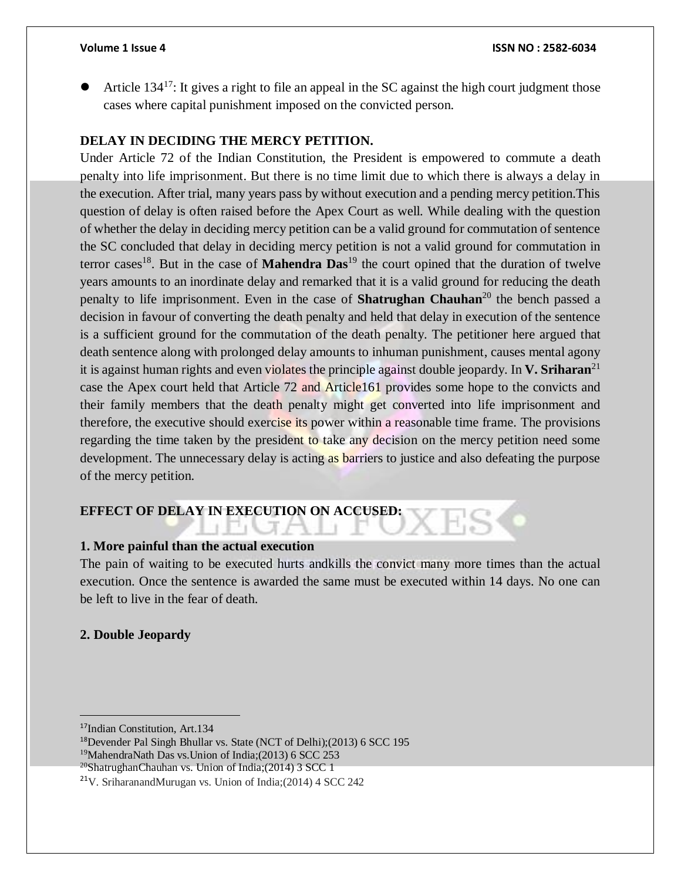Article 134<sup>17</sup>: It gives a right to file an appeal in the SC against the high court judgment those cases where capital punishment imposed on the convicted person.

#### **DELAY IN DECIDING THE MERCY PETITION.**

Under Article 72 of the Indian Constitution, the President is empowered to commute a death penalty into life imprisonment. But there is no time limit due to which there is always a delay in the execution. After trial, many years pass by without execution and a pending mercy petition.This question of delay is often raised before the Apex Court as well. While dealing with the question of whether the delay in deciding mercy petition can be a valid ground for commutation of sentence the SC concluded that delay in deciding mercy petition is not a valid ground for commutation in terror cases<sup>18</sup>. But in the case of **Mahendra Das**<sup>19</sup> the court opined that the duration of twelve years amounts to an inordinate delay and remarked that it is a valid ground for reducing the death penalty to life imprisonment. Even in the case of **Shatrughan Chauhan**<sup>20</sup> the bench passed a decision in favour of converting the death penalty and held that delay in execution of the sentence is a sufficient ground for the commutation of the death penalty. The petitioner here argued that death sentence along with prolonged delay amounts to inhuman punishment, causes mental agony it is against human rights and even violates the principle against double jeopardy. In **V. Sriharan**<sup>21</sup> case the Apex court held that Article 72 and Article161 provides some hope to the convicts and their family members that the death penalty might get converted into life imprisonment and therefore, the executive should exercise its power within a reasonable time frame. The provisions regarding the time taken by the president to take any decision on the mercy petition need some development. The unnecessary delay is acting as barriers to justice and also defeating the purpose of the mercy petition.

### **EFFECT OF DELAY IN EXECUTION ON ACCUSED:**

#### **1. More painful than the actual execution**

The pain of waiting to be executed hurts andkills the convict many more times than the actual execution. Once the sentence is awarded the same must be executed within 14 days. No one can be left to live in the fear of death.

#### **2. Double Jeopardy**

<sup>17</sup>Indian Constitution, Art.134

<sup>18</sup>Devender Pal Singh Bhullar vs. State (NCT of Delhi);(2013) 6 SCC 195

<sup>19</sup>MahendraNath Das vs.Union of India;(2013) 6 SCC 253

 $^{20}$ ShatrughanChauhan vs. Union of India;(2014) 3 SCC 1

<sup>&</sup>lt;sup>21</sup>V. SriharanandMurugan vs. Union of India;(2014) 4 SCC 242